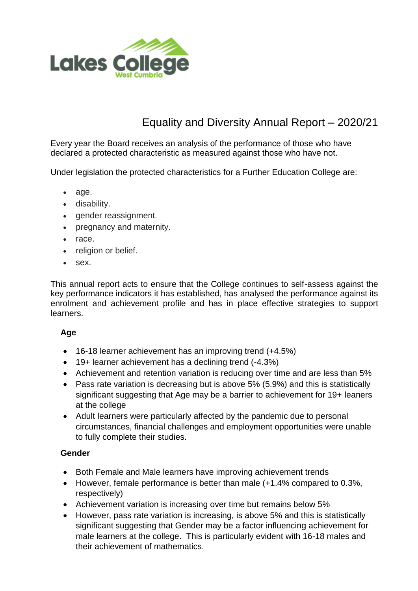

# Equality and Diversity Annual Report – 2020/21

Every year the Board receives an analysis of the performance of those who have declared a protected characteristic as measured against those who have not.

Under legislation the protected characteristics for a Further Education College are:

- age.
- disability.
- gender reassignment.
- pregnancy and maternity.
- race.
- religion or belief.
- sex.

This annual report acts to ensure that the College continues to self-assess against the key performance indicators it has established, has analysed the performance against its enrolment and achievement profile and has in place effective strategies to support learners.

#### **Age**

- 16-18 learner achievement has an improving trend (+4.5%)
- 19+ learner achievement has a declining trend (-4.3%)
- Achievement and retention variation is reducing over time and are less than 5%
- Pass rate variation is decreasing but is above 5% (5.9%) and this is statistically significant suggesting that Age may be a barrier to achievement for 19+ leaners at the college
- Adult learners were particularly affected by the pandemic due to personal circumstances, financial challenges and employment opportunities were unable to fully complete their studies.

#### **Gender**

- Both Female and Male learners have improving achievement trends
- However, female performance is better than male (+1.4% compared to 0.3%, respectively)
- Achievement variation is increasing over time but remains below 5%
- However, pass rate variation is increasing, is above 5% and this is statistically significant suggesting that Gender may be a factor influencing achievement for male learners at the college. This is particularly evident with 16-18 males and their achievement of mathematics.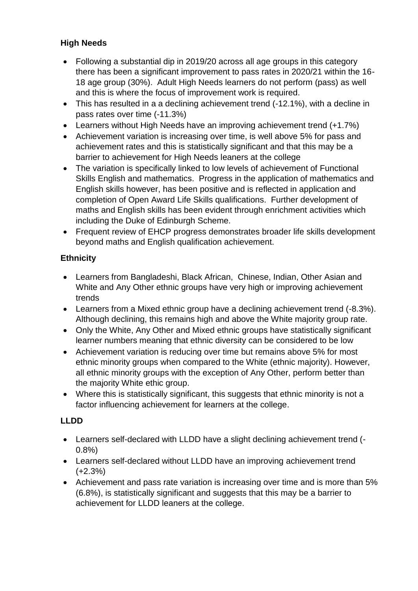# **High Needs**

- Following a substantial dip in 2019/20 across all age groups in this category there has been a significant improvement to pass rates in 2020/21 within the 16- 18 age group (30%). Adult High Needs learners do not perform (pass) as well and this is where the focus of improvement work is required.
- This has resulted in a a declining achievement trend (-12.1%), with a decline in pass rates over time (-11.3%)
- Learners without High Needs have an improving achievement trend (+1.7%)
- Achievement variation is increasing over time, is well above 5% for pass and achievement rates and this is statistically significant and that this may be a barrier to achievement for High Needs leaners at the college
- The variation is specifically linked to low levels of achievement of Functional Skills English and mathematics. Progress in the application of mathematics and English skills however, has been positive and is reflected in application and completion of Open Award Life Skills qualifications. Further development of maths and English skills has been evident through enrichment activities which including the Duke of Edinburgh Scheme.
- Frequent review of EHCP progress demonstrates broader life skills development beyond maths and English qualification achievement.

# **Ethnicity**

- Learners from Bangladeshi, Black African, Chinese, Indian, Other Asian and White and Any Other ethnic groups have very high or improving achievement trends
- Learners from a Mixed ethnic group have a declining achievement trend (-8.3%). Although declining, this remains high and above the White majority group rate.
- Only the White, Any Other and Mixed ethnic groups have statistically significant learner numbers meaning that ethnic diversity can be considered to be low
- Achievement variation is reducing over time but remains above 5% for most ethnic minority groups when compared to the White (ethnic majority). However, all ethnic minority groups with the exception of Any Other, perform better than the majority White ethic group.
- Where this is statistically significant, this suggests that ethnic minority is not a factor influencing achievement for learners at the college.

#### **LLDD**

- Learners self-declared with LLDD have a slight declining achievement trend (- 0.8%)
- Learners self-declared without LLDD have an improving achievement trend (+2.3%)
- Achievement and pass rate variation is increasing over time and is more than 5% (6.8%), is statistically significant and suggests that this may be a barrier to achievement for LLDD leaners at the college.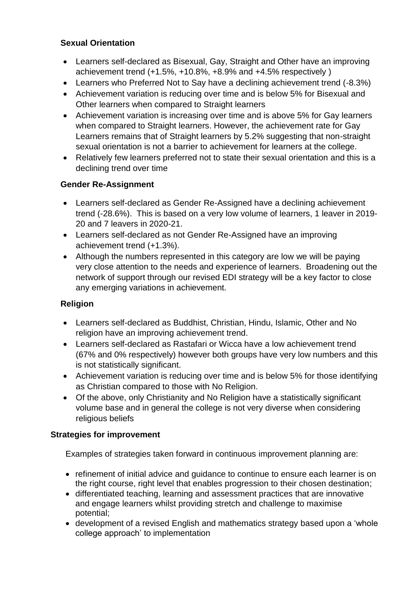## **Sexual Orientation**

- Learners self-declared as Bisexual, Gay, Straight and Other have an improving achievement trend (+1.5%, +10.8%, +8.9% and +4.5% respectively )
- Learners who Preferred Not to Say have a declining achievement trend (-8.3%)
- Achievement variation is reducing over time and is below 5% for Bisexual and Other learners when compared to Straight learners
- Achievement variation is increasing over time and is above 5% for Gay learners when compared to Straight learners. However, the achievement rate for Gay Learners remains that of Straight learners by 5.2% suggesting that non-straight sexual orientation is not a barrier to achievement for learners at the college.
- Relatively few learners preferred not to state their sexual orientation and this is a declining trend over time

## **Gender Re-Assignment**

- Learners self-declared as Gender Re-Assigned have a declining achievement trend (-28.6%). This is based on a very low volume of learners, 1 leaver in 2019- 20 and 7 leavers in 2020-21.
- Learners self-declared as not Gender Re-Assigned have an improving achievement trend (+1.3%).
- Although the numbers represented in this category are low we will be paying very close attention to the needs and experience of learners. Broadening out the network of support through our revised EDI strategy will be a key factor to close any emerging variations in achievement.

# **Religion**

- Learners self-declared as Buddhist, Christian, Hindu, Islamic, Other and No religion have an improving achievement trend.
- Learners self-declared as Rastafari or Wicca have a low achievement trend (67% and 0% respectively) however both groups have very low numbers and this is not statistically significant.
- Achievement variation is reducing over time and is below 5% for those identifying as Christian compared to those with No Religion.
- Of the above, only Christianity and No Religion have a statistically significant volume base and in general the college is not very diverse when considering religious beliefs

#### **Strategies for improvement**

Examples of strategies taken forward in continuous improvement planning are:

- refinement of initial advice and guidance to continue to ensure each learner is on the right course, right level that enables progression to their chosen destination;
- differentiated teaching, learning and assessment practices that are innovative and engage learners whilst providing stretch and challenge to maximise potential;
- development of a revised English and mathematics strategy based upon a 'whole college approach' to implementation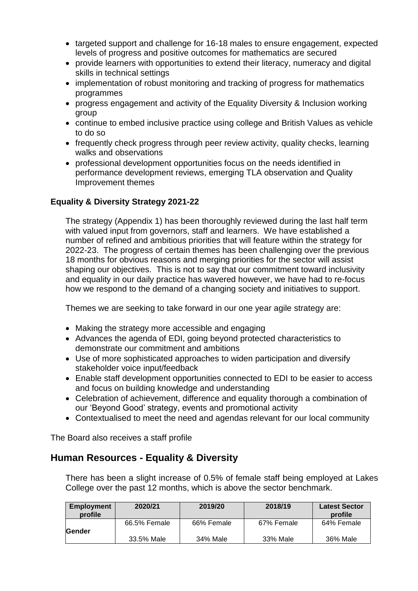- targeted support and challenge for 16-18 males to ensure engagement, expected levels of progress and positive outcomes for mathematics are secured
- provide learners with opportunities to extend their literacy, numeracy and digital skills in technical settings
- implementation of robust monitoring and tracking of progress for mathematics programmes
- progress engagement and activity of the Equality Diversity & Inclusion working group
- continue to embed inclusive practice using college and British Values as vehicle to do so
- frequently check progress through peer review activity, quality checks, learning walks and observations
- professional development opportunities focus on the needs identified in performance development reviews, emerging TLA observation and Quality Improvement themes

#### **Equality & Diversity Strategy 2021-22**

The strategy (Appendix 1) has been thoroughly reviewed during the last half term with valued input from governors, staff and learners. We have established a number of refined and ambitious priorities that will feature within the strategy for 2022-23. The progress of certain themes has been challenging over the previous 18 months for obvious reasons and merging priorities for the sector will assist shaping our objectives. This is not to say that our commitment toward inclusivity and equality in our daily practice has wavered however, we have had to re-focus how we respond to the demand of a changing society and initiatives to support.

Themes we are seeking to take forward in our one year agile strategy are:

- Making the strategy more accessible and engaging
- Advances the agenda of EDI, going beyond protected characteristics to demonstrate our commitment and ambitions
- Use of more sophisticated approaches to widen participation and diversify stakeholder voice input/feedback
- Enable staff development opportunities connected to EDI to be easier to access and focus on building knowledge and understanding
- Celebration of achievement, difference and equality thorough a combination of our 'Beyond Good' strategy, events and promotional activity
- Contextualised to meet the need and agendas relevant for our local community

The Board also receives a staff profile

# **Human Resources - Equality & Diversity**

There has been a slight increase of 0.5% of female staff being employed at Lakes College over the past 12 months, which is above the sector benchmark.

| <b>Employment</b><br>profile | 2020/21      | 2019/20    | 2018/19    | <b>Latest Sector</b><br>profile |
|------------------------------|--------------|------------|------------|---------------------------------|
| Gender                       | 66.5% Female | 66% Female | 67% Female | 64% Female                      |
|                              | 33.5% Male   | 34% Male   | 33% Male   | 36% Male                        |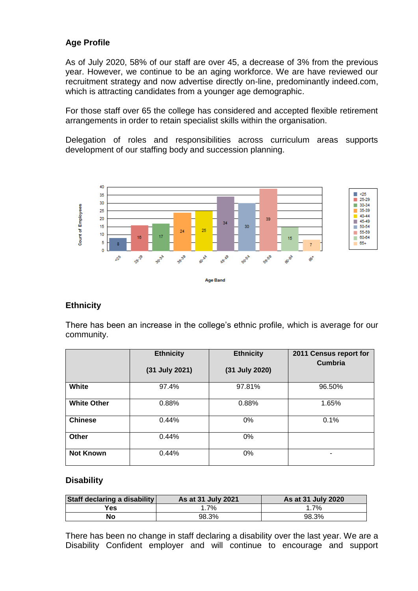#### **Age Profile**

As of July 2020, 58% of our staff are over 45, a decrease of 3% from the previous year. However, we continue to be an aging workforce. We are have reviewed our recruitment strategy and now advertise directly on-line, predominantly indeed.com, which is attracting candidates from a younger age demographic.

For those staff over 65 the college has considered and accepted flexible retirement arrangements in order to retain specialist skills within the organisation.

Delegation of roles and responsibilities across curriculum areas supports development of our staffing body and succession planning.



#### **Ethnicity**

There has been an increase in the college's ethnic profile, which is average for our community.

|                    | <b>Ethnicity</b> | <b>Ethnicity</b> | 2011 Census report for<br><b>Cumbria</b> |
|--------------------|------------------|------------------|------------------------------------------|
|                    | (31 July 2021)   | (31 July 2020)   |                                          |
| White              | 97.4%            | 97.81%           | 96.50%                                   |
| <b>White Other</b> | 0.88%            | 0.88%            | 1.65%                                    |
| <b>Chinese</b>     | 0.44%            | 0%               | 0.1%                                     |
| Other              | 0.44%            | 0%               |                                          |
| <b>Not Known</b>   | 0.44%            | 0%               | ٠                                        |

#### **Disability**

| Staff declaring a disability | As at 31 July 2021 | As at 31 July 2020 |  |
|------------------------------|--------------------|--------------------|--|
| Yes                          | 1.7%               | 1.7%               |  |
| No                           | 98.3%              | 98.3%              |  |

There has been no change in staff declaring a disability over the last year. We are a Disability Confident employer and will continue to encourage and support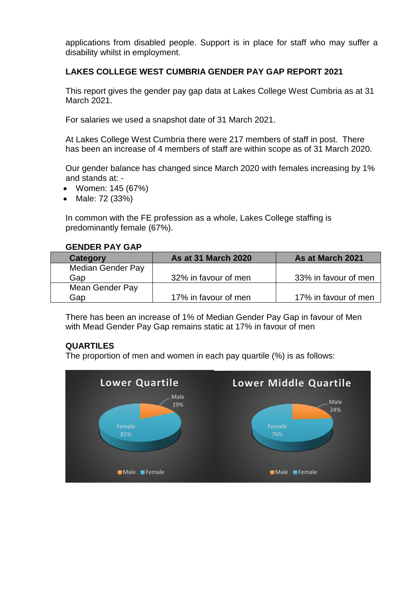applications from disabled people. Support is in place for staff who may suffer a disability whilst in employment.

#### **LAKES COLLEGE WEST CUMBRIA GENDER PAY GAP REPORT 2021**

This report gives the gender pay gap data at Lakes College West Cumbria as at 31 March 2021.

For salaries we used a snapshot date of 31 March 2021.

At Lakes College West Cumbria there were 217 members of staff in post. There has been an increase of 4 members of staff are within scope as of 31 March 2020.

Our gender balance has changed since March 2020 with females increasing by 1% and stands at: -

- Women: 145 (67%)
- Male: 72 (33%)

In common with the FE profession as a whole, Lakes College staffing is predominantly female (67%).

#### **GENDER PAY GAP**

| Category                 | <b>As at 31 March 2020</b> | As at March 2021     |
|--------------------------|----------------------------|----------------------|
| <b>Median Gender Pay</b> |                            |                      |
| Gap                      | 32% in favour of men       | 33% in favour of men |
| Mean Gender Pay          |                            |                      |
| Gap                      | 17% in favour of men       | 17% in favour of men |

There has been an increase of 1% of Median Gender Pay Gap in favour of Men with Mead Gender Pay Gap remains static at 17% in favour of men

#### **QUARTILES**

The proportion of men and women in each pay quartile (%) is as follows: